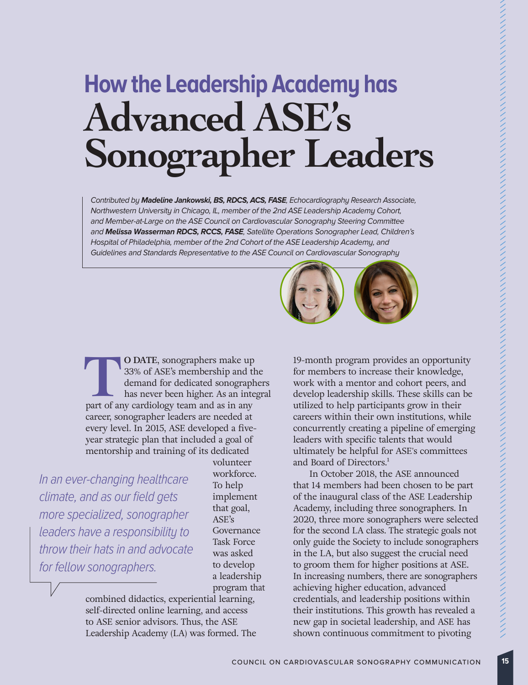# **How the Leadership Academy has Advanced ASE's Sonographer Leaders**

Contributed by **Madeline Jankowski, BS, RDCS, ACS, FASE**, Echocardiography Research Associate, Northwestern University in Chicago, IL, member of the 2nd ASE Leadership Academy Cohort, and Member-at-Large on the ASE Council on Cardiovascular Sonography Steering Committee and **Melissa Wasserman RDCS, RCCS, FASE**, Satellite Operations Sonographer Lead, Children's Hospital of Philadelphia, member of the 2nd Cohort of the ASE Leadership Academy, and Guidelines and Standards Representative to the ASE Council on Cardiovascular Sonography



**T O DATE**, sonographers make up 33% of ASE's membership and the demand for dedicated sonographers has never been higher. As an integral part of any cardiology team and as in any career, sonographer leaders are needed at every level. In 2015, ASE developed a fiveyear strategic plan that included a goal of mentorship and training of its dedicated

In an ever-changing healthcare climate, and as our field gets more specialized, sonographer leaders have a responsibility to throw their hats in and advocate for fellow sonographers.

volunteer workforce. To help implement that goal, ASE's Governance Task Force was asked to develop a leadership program that

combined didactics, experiential learning, self-directed online learning, and access to ASE senior advisors. Thus, the ASE Leadership Academy (LA) was formed. The 19-month program provides an opportunity for members to increase their knowledge, work with a mentor and cohort peers, and develop leadership skills. These skills can be utilized to help participants grow in their careers within their own institutions, while concurrently creating a pipeline of emerging leaders with specific talents that would ultimately be helpful for ASE's committees and Board of Directors.<sup>1</sup>

 In October 2018, the ASE announced that 14 members had been chosen to be part of the inaugural class of the ASE Leadership Academy, including three sonographers. In 2020, three more sonographers were selected for the second LA class. The strategic goals not only guide the Society to include sonographers in the LA, but also suggest the crucial need to groom them for higher positions at ASE. In increasing numbers, there are sonographers achieving higher education, advanced credentials, and leadership positions within their institutions. This growth has revealed a new gap in societal leadership, and ASE has shown continuous commitment to pivoting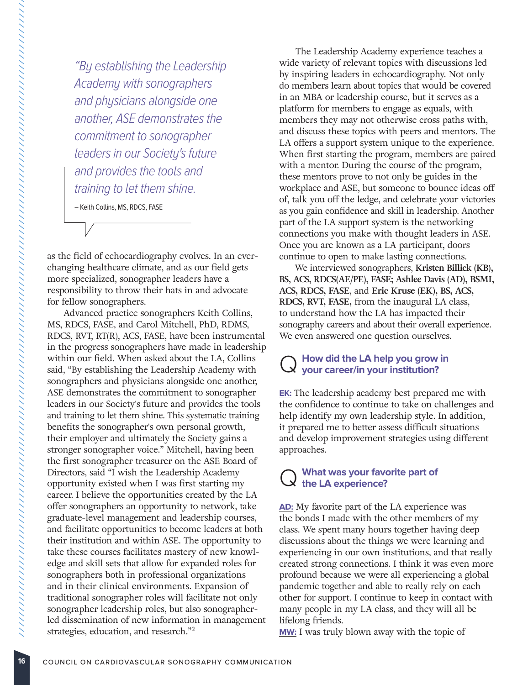"By establishing the Leadership Academy with sonographers and physicians alongside one another, ASE demonstrates the commitment to sonographer leaders in our Society's future and provides the tools and training to let them shine.

– Keith Collins, MS, RDCS, FASE

as the field of echocardiography evolves. In an everchanging healthcare climate, and as our field gets more specialized, sonographer leaders have a responsibility to throw their hats in and advocate for fellow sonographers.

 Advanced practice sonographers Keith Collins, MS, RDCS, FASE, and Carol Mitchell, PhD, RDMS, RDCS, RVT, RT(R), ACS, FASE, have been instrumental in the progress sonographers have made in leadership within our field. When asked about the LA, Collins said, "By establishing the Leadership Academy with sonographers and physicians alongside one another, ASE demonstrates the commitment to sonographer leaders in our Society's future and provides the tools and training to let them shine. This systematic training benefits the sonographer's own personal growth, their employer and ultimately the Society gains a stronger sonographer voice." Mitchell, having been the first sonographer treasurer on the ASE Board of Directors, said "I wish the Leadership Academy opportunity existed when I was first starting my career. I believe the opportunities created by the LA offer sonographers an opportunity to network, take graduate-level management and leadership courses, and facilitate opportunities to become leaders at both their institution and within ASE. The opportunity to take these courses facilitates mastery of new knowledge and skill sets that allow for expanded roles for sonographers both in professional organizations and in their clinical environments. Expansion of traditional sonographer roles will facilitate not only sonographer leadership roles, but also sonographerled dissemination of new information in management strategies, education, and research."<sup>2</sup>

 The Leadership Academy experience teaches a wide variety of relevant topics with discussions led by inspiring leaders in echocardiography. Not only do members learn about topics that would be covered in an MBA or leadership course, but it serves as a platform for members to engage as equals, with members they may not otherwise cross paths with, and discuss these topics with peers and mentors. The LA offers a support system unique to the experience. When first starting the program, members are paired with a mentor. During the course of the program, these mentors prove to not only be guides in the workplace and ASE, but someone to bounce ideas off of, talk you off the ledge, and celebrate your victories as you gain confidence and skill in leadership. Another part of the LA support system is the networking connections you make with thought leaders in ASE. Once you are known as a LA participant, doors continue to open to make lasting connections.

 We interviewed sonographers, **Kristen Billick (KB), BS, ACS, RDCS(AE/PE), FASE; Ashlee Davis (AD), BSMI, ACS, RDCS, FASE**, and **Eric Kruse (EK), BS, ACS, RDCS, RVT, FASE,** from the inaugural LA class, to understand how the LA has impacted their sonography careers and about their overall experience. We even answered one question ourselves.

## Q **How did the LA help you grow in your career/in your institution?**

**EK:** The leadership academy best prepared me with the confidence to continue to take on challenges and help identify my own leadership style. In addition, it prepared me to better assess difficult situations and develop improvement strategies using different approaches.

#### Q **What was your favorite part of the LA experience?**

**AD:** My favorite part of the LA experience was the bonds I made with the other members of my class. We spent many hours together having deep discussions about the things we were learning and experiencing in our own institutions, and that really created strong connections. I think it was even more profound because we were all experiencing a global pandemic together and able to really rely on each other for support. I continue to keep in contact with many people in my LA class, and they will all be lifelong friends.

**MW:** I was truly blown away with the topic of